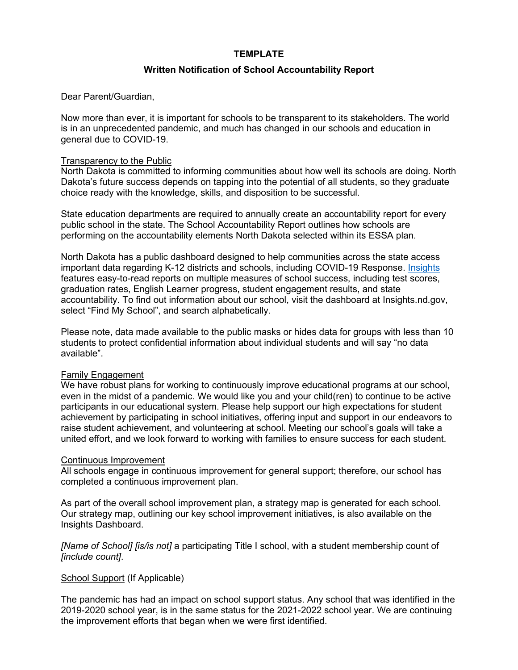# **TEMPLATE**

# **Written Notification of School Accountability Report**

Dear Parent/Guardian,

Now more than ever, it is important for schools to be transparent to its stakeholders. The world is in an unprecedented pandemic, and much has changed in our schools and education in general due to COVID-19.

## Transparency to the Public

North Dakota is committed to informing communities about how well its schools are doing. North Dakota's future success depends on tapping into the potential of all students, so they graduate choice ready with the knowledge, skills, and disposition to be successful.

State education departments are required to annually create an accountability report for every public school in the state. The School Accountability Report outlines how schools are performing on the accountability elements North Dakota selected within its ESSA plan.

North Dakota has a public dashboard designed to help communities across the state access important data regarding K-12 districts and schools, including COVID-19 Response. [Insights](https://insights.nd.gov/Education) features easy-to-read reports on multiple measures of school success, including test scores, graduation rates, English Learner progress, student engagement results, and state accountability. To find out information about our school, visit the dashboard at Insights.nd.gov, select "Find My School", and search alphabetically.

Please note, data made available to the public masks or hides data for groups with less than 10 students to protect confidential information about individual students and will say "no data available".

#### Family Engagement

We have robust plans for working to continuously improve educational programs at our school, even in the midst of a pandemic. We would like you and your child(ren) to continue to be active participants in our educational system. Please help support our high expectations for student achievement by participating in school initiatives, offering input and support in our endeavors to raise student achievement, and volunteering at school. Meeting our school's goals will take a united effort, and we look forward to working with families to ensure success for each student.

## Continuous Improvement

All schools engage in continuous improvement for general support; therefore, our school has completed a continuous improvement plan.

As part of the overall school improvement plan, a strategy map is generated for each school. Our strategy map, outlining our key school improvement initiatives, is also available on the Insights Dashboard.

*[Name of School] [is/is not]* a participating Title I school, with a student membership count of *[include count]*.

# School Support (If Applicable)

The pandemic has had an impact on school support status. Any school that was identified in the 2019-2020 school year, is in the same status for the 2021-2022 school year. We are continuing the improvement efforts that began when we were first identified.